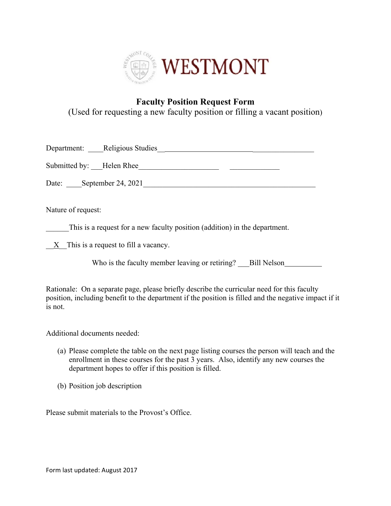

## **Faculty Position Request Form**

(Used for requesting a new faculty position or filling a vacant position)

|                          | Department: Religious Studies |
|--------------------------|-------------------------------|
| Submitted by: Helen Rhee |                               |
| Date:                    | September 24, 2021            |

Nature of request:

This is a request for a new faculty position (addition) in the department.

 $\underline{X}$  This is a request to fill a vacancy.

Who is the faculty member leaving or retiring? Bill Nelson

Rationale: On a separate page, please briefly describe the curricular need for this faculty position, including benefit to the department if the position is filled and the negative impact if it is not.

Additional documents needed:

- (a) Please complete the table on the next page listing courses the person will teach and the enrollment in these courses for the past 3 years. Also, identify any new courses the department hopes to offer if this position is filled.
- (b) Position job description

Please submit materials to the Provost's Office.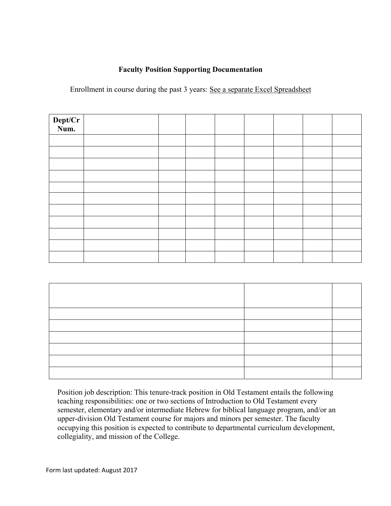## **Faculty Position Supporting Documentation**

Enrollment in course during the past 3 years: See a separate Excel Spreadsheet

| Dept/Cr<br>Num. |  |  |  |  |
|-----------------|--|--|--|--|
|                 |  |  |  |  |
|                 |  |  |  |  |
|                 |  |  |  |  |
|                 |  |  |  |  |
|                 |  |  |  |  |
|                 |  |  |  |  |
|                 |  |  |  |  |
|                 |  |  |  |  |
|                 |  |  |  |  |
|                 |  |  |  |  |
|                 |  |  |  |  |

Position job description: This tenure-track position in Old Testament entails the following teaching responsibilities: one or two sections of Introduction to Old Testament every semester, elementary and/or intermediate Hebrew for biblical language program, and/or an upper-division Old Testament course for majors and minors per semester. The faculty occupying this position is expected to contribute to departmental curriculum development, collegiality, and mission of the College.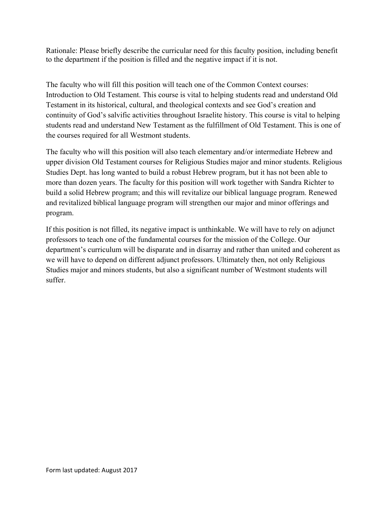Rationale: Please briefly describe the curricular need for this faculty position, including benefit to the department if the position is filled and the negative impact if it is not.

The faculty who will fill this position will teach one of the Common Context courses: Introduction to Old Testament. This course is vital to helping students read and understand Old Testament in its historical, cultural, and theological contexts and see God's creation and continuity of God's salvific activities throughout Israelite history. This course is vital to helping students read and understand New Testament as the fulfillment of Old Testament. This is one of the courses required for all Westmont students.

The faculty who will this position will also teach elementary and/or intermediate Hebrew and upper division Old Testament courses for Religious Studies major and minor students. Religious Studies Dept. has long wanted to build a robust Hebrew program, but it has not been able to more than dozen years. The faculty for this position will work together with Sandra Richter to build a solid Hebrew program; and this will revitalize our biblical language program. Renewed and revitalized biblical language program will strengthen our major and minor offerings and program.

If this position is not filled, its negative impact is unthinkable. We will have to rely on adjunct professors to teach one of the fundamental courses for the mission of the College. Our department's curriculum will be disparate and in disarray and rather than united and coherent as we will have to depend on different adjunct professors. Ultimately then, not only Religious Studies major and minors students, but also a significant number of Westmont students will suffer.